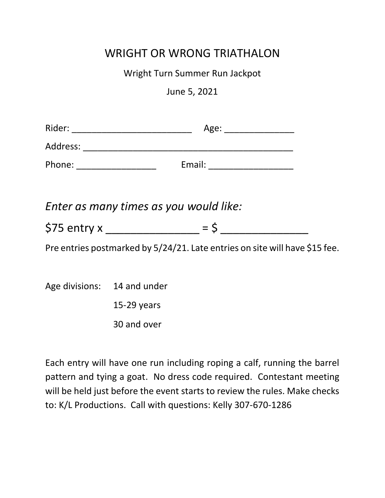## WRIGHT OR WRONG TRIATHALON

Wright Turn Summer Run Jackpot

June 5, 2021

|                             | Enter as many times as you would like:                                      |
|-----------------------------|-----------------------------------------------------------------------------|
|                             |                                                                             |
|                             | Pre entries postmarked by 5/24/21. Late entries on site will have \$15 fee. |
|                             |                                                                             |
| Age divisions: 14 and under |                                                                             |
|                             | $15-29$ years                                                               |
|                             | 30 and over                                                                 |
|                             |                                                                             |

Each entry will have one run including roping a calf, running the barrel pattern and tying a goat. No dress code required. Contestant meeting will be held just before the event starts to review the rules. Make checks to: K/L Productions. Call with questions: Kelly 307-670-1286